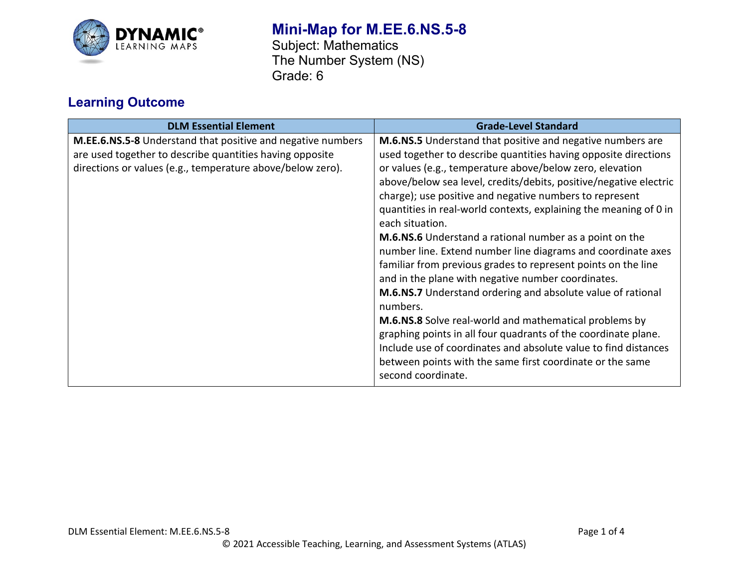

## **Mini-Map for M.EE.6.NS.5-8**

Subject: Mathematics The Number System (NS) Grade: 6

## **Learning Outcome**

| <b>DLM Essential Element</b>                                                                                                                                                                 | <b>Grade-Level Standard</b>                                                                                                                                                                                                                                                                                                                                                                                                                                                                                                                                                                                                                                                                                                                                                                                                                                                                                                                                                                                                                    |
|----------------------------------------------------------------------------------------------------------------------------------------------------------------------------------------------|------------------------------------------------------------------------------------------------------------------------------------------------------------------------------------------------------------------------------------------------------------------------------------------------------------------------------------------------------------------------------------------------------------------------------------------------------------------------------------------------------------------------------------------------------------------------------------------------------------------------------------------------------------------------------------------------------------------------------------------------------------------------------------------------------------------------------------------------------------------------------------------------------------------------------------------------------------------------------------------------------------------------------------------------|
| <b>M.EE.6.NS.5-8</b> Understand that positive and negative numbers<br>are used together to describe quantities having opposite<br>directions or values (e.g., temperature above/below zero). | <b>M.6.NS.5</b> Understand that positive and negative numbers are<br>used together to describe quantities having opposite directions<br>or values (e.g., temperature above/below zero, elevation<br>above/below sea level, credits/debits, positive/negative electric<br>charge); use positive and negative numbers to represent<br>quantities in real-world contexts, explaining the meaning of 0 in<br>each situation.<br><b>M.6.NS.6</b> Understand a rational number as a point on the<br>number line. Extend number line diagrams and coordinate axes<br>familiar from previous grades to represent points on the line<br>and in the plane with negative number coordinates.<br>M.6.NS.7 Understand ordering and absolute value of rational<br>numbers.<br>M.6.NS.8 Solve real-world and mathematical problems by<br>graphing points in all four quadrants of the coordinate plane.<br>Include use of coordinates and absolute value to find distances<br>between points with the same first coordinate or the same<br>second coordinate. |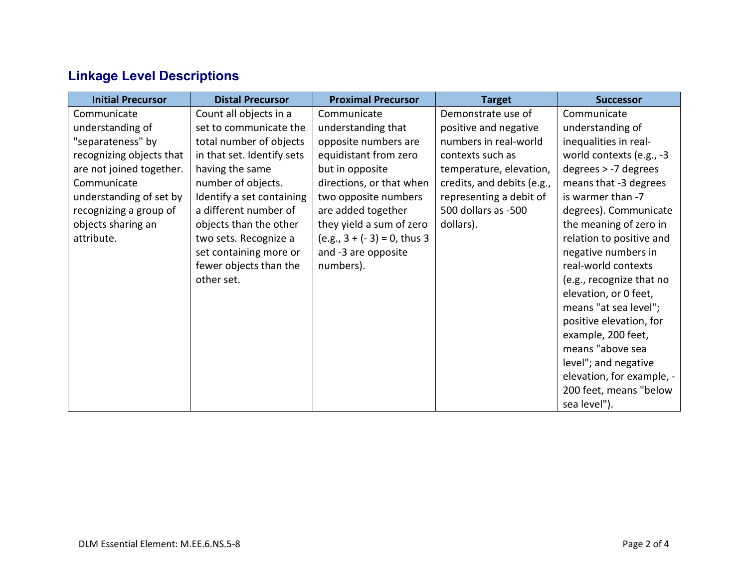# **Linkage Level Descriptions**

| <b>Initial Precursor</b> | <b>Distal Precursor</b>    | <b>Proximal Precursor</b>      | <b>Target</b>              | <b>Successor</b>          |
|--------------------------|----------------------------|--------------------------------|----------------------------|---------------------------|
| Communicate              | Count all objects in a     | Communicate                    | Demonstrate use of         | Communicate               |
| understanding of         | set to communicate the     | understanding that             | positive and negative      | understanding of          |
| "separateness" by        | total number of objects    | opposite numbers are           | numbers in real-world      | inequalities in real-     |
| recognizing objects that | in that set. Identify sets | equidistant from zero          | contexts such as           | world contexts (e.g., -3  |
| are not joined together. | having the same            | but in opposite                | temperature, elevation,    | degrees > -7 degrees      |
| Communicate              | number of objects.         | directions, or that when       | credits, and debits (e.g., | means that -3 degrees     |
| understanding of set by  | Identify a set containing  | two opposite numbers           | representing a debit of    | is warmer than -7         |
| recognizing a group of   | a different number of      | are added together             | 500 dollars as -500        | degrees). Communicate     |
| objects sharing an       | objects than the other     | they yield a sum of zero       | dollars).                  | the meaning of zero in    |
| attribute.               | two sets. Recognize a      | $(e.g., 3 + (-3) = 0, thus 3)$ |                            | relation to positive and  |
|                          | set containing more or     | and -3 are opposite            |                            | negative numbers in       |
|                          | fewer objects than the     | numbers).                      |                            | real-world contexts       |
|                          | other set.                 |                                |                            | (e.g., recognize that no  |
|                          |                            |                                |                            | elevation, or 0 feet,     |
|                          |                            |                                |                            | means "at sea level";     |
|                          |                            |                                |                            | positive elevation, for   |
|                          |                            |                                |                            | example, 200 feet,        |
|                          |                            |                                |                            | means "above sea          |
|                          |                            |                                |                            | level"; and negative      |
|                          |                            |                                |                            | elevation, for example, - |
|                          |                            |                                |                            | 200 feet, means "below    |
|                          |                            |                                |                            | sea level").              |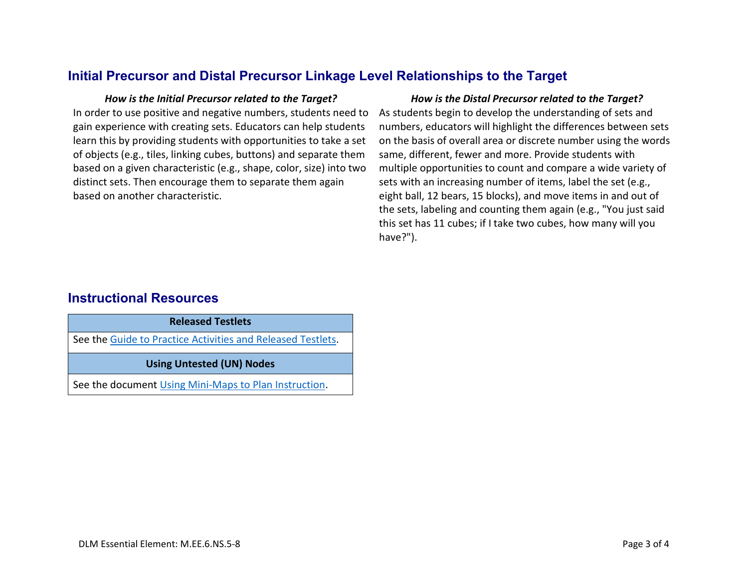## **Initial Precursor and Distal Precursor Linkage Level Relationships to the Target**

In order to use positive and negative numbers, students need to gain experience with creating sets. Educators can help students learn this by providing students with opportunities to take a set of objects (e.g., tiles, linking cubes, buttons) and separate them based on a given characteristic (e.g., shape, color, size) into two distinct sets. Then encourage them to separate them again based on another characteristic.

#### *How is the Initial Precursor related to the Target? How is the Distal Precursor related to the Target?*

As students begin to develop the understanding of sets and numbers, educators will highlight the differences between sets on the basis of overall area or discrete number using the words same, different, fewer and more. Provide students with multiple opportunities to count and compare a wide variety of sets with an increasing number of items, label the set (e.g., eight ball, 12 bears, 15 blocks), and move items in and out of the sets, labeling and counting them again (e.g., "You just said this set has 11 cubes; if I take two cubes, how many will you have?").

## **Instructional Resources**